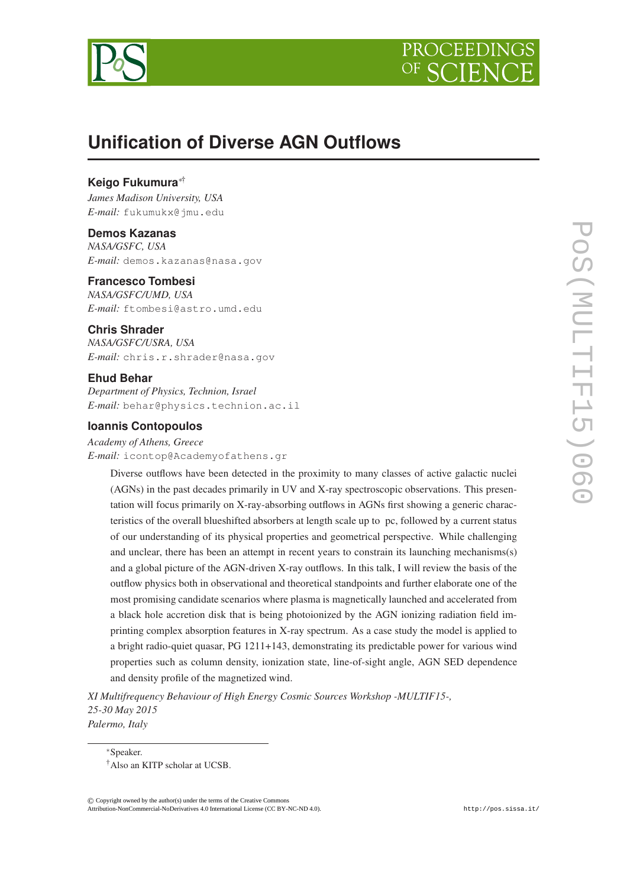



# **Unification of Diverse AGN Outflows**

# **Keigo Fukumura** ∗†

*James Madison University, USA E-mail:* fukumukx@jmu.edu

#### **Demos Kazanas**

*NASA/GSFC, USA E-mail:* demos.kazanas@nasa.gov

# **Francesco Tombesi**

*NASA/GSFC/UMD, USA E-mail:* ftombesi@astro.umd.edu

# **Chris Shrader**

*NASA/GSFC/USRA, USA E-mail:* chris.r.shrader@nasa.gov

#### **Ehud Behar**

*Department of Physics, Technion, Israel E-mail:* behar@physics.technion.ac.il

#### **Ioannis Contopoulos**

*Academy of Athens, Greece E-mail:* icontop@Academyofathens.gr

> Diverse outflows have been detected in the proximity to many classes of active galactic nuclei (AGNs) in the past decades primarily in UV and X-ray spectroscopic observations. This presentation will focus primarily on X-ray-absorbing outflows in AGNs first showing a generic characteristics of the overall blueshifted absorbers at length scale up to pc, followed by a current status of our understanding of its physical properties and geometrical perspective. While challenging and unclear, there has been an attempt in recent years to constrain its launching mechanisms(s) and a global picture of the AGN-driven X-ray outflows. In this talk, I will review the basis of the outflow physics both in observational and theoretical standpoints and further elaborate one of the most promising candidate scenarios where plasma is magnetically launched and accelerated from a black hole accretion disk that is being photoionized by the AGN ionizing radiation field imprinting complex absorption features in X-ray spectrum. As a case study the model is applied to a bright radio-quiet quasar, PG 1211+143, demonstrating its predictable power for various wind properties such as column density, ionization state, line-of-sight angle, AGN SED dependence and density profile of the magnetized wind.

*XI Multifrequency Behaviour of High Energy Cosmic Sources Workshop -MULTIF15-, 25-30 May 2015 Palermo, Italy*

<sup>∗</sup>Speaker.

© c Copyright owned by the author(s) under the terms of the Creative Commons Copyright owned by the author(s) under the terms of the Creative Commons Attribution 4.0 licence. http://pos.sissa.it/ Attribution-NonCommercial-NoDerivatives 4.0 International License (CC BY-NC-ND 4.0).

<sup>†</sup>Also an KITP scholar at UCSB.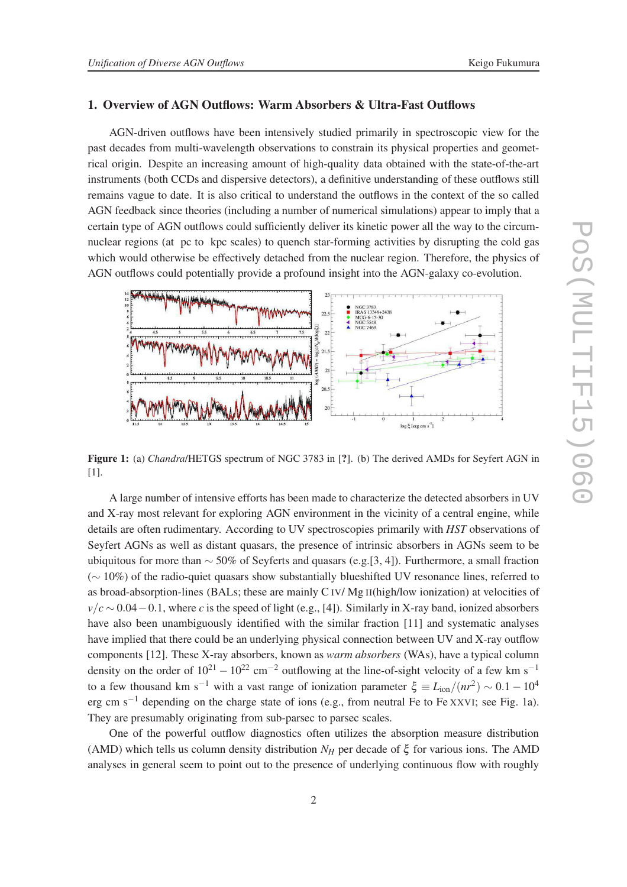#### 1. Overview of AGN Outflows: Warm Absorbers & Ultra-Fast Outflows

AGN-driven outflows have been intensively studied primarily in spectroscopic view for the past decades from multi-wavelength observations to constrain its physical properties and geometrical origin. Despite an increasing amount of high-quality data obtained with the state-of-the-art instruments (both CCDs and dispersive detectors), a definitive understanding of these outflows still remains vague to date. It is also critical to understand the outflows in the context of the so called AGN feedback since theories (including a number of numerical simulations) appear to imply that a certain type of AGN outflows could sufficiently deliver its kinetic power all the way to the circumnuclear regions (at pc to kpc scales) to quench star-forming activities by disrupting the cold gas which would otherwise be effectively detached from the nuclear region. Therefore, the physics of AGN outflows could potentially provide a profound insight into the AGN-galaxy co-evolution.



Figure 1: (a) *Chandra/HETGS* spectrum of NGC 3783 in [?]. (b) The derived AMDs for Seyfert AGN in [1].

A large number of intensive efforts has been made to characterize the detected absorbers in UV and X-ray most relevant for exploring AGN environment in the vicinity of a central engine, while details are often rudimentary. According to UV spectroscopies primarily with *HST* observations of Seyfert AGNs as well as distant quasars, the presence of intrinsic absorbers in AGNs seem to be ubiquitous for more than  $\sim$  50% of Seyferts and quasars (e.g.[3, 4]). Furthermore, a small fraction ( ∼ 10%) of the radio-quiet quasars show substantially blueshifted UV resonance lines, referred to as broad-absorption-lines (BALs; these are mainly C IV/ Mg II(high/low ionization) at velocities of  $v/c \sim 0.04-0.1$ , where *c* is the speed of light (e.g., [4]). Similarly in X-ray band, ionized absorbers have also been unambiguously identified with the similar fraction [11] and systematic analyses have implied that there could be an underlying physical connection between UV and X-ray outflow components [12]. These X-ray absorbers, known as *warm absorbers* (WAs), have a typical column density on the order of  $10^{21} - 10^{22}$  cm<sup>-2</sup> outflowing at the line-of-sight velocity of a few km s<sup>-1</sup> to a few thousand km s<sup>-1</sup> with a vast range of ionization parameter  $\xi \equiv L_{\text{ion}}/(nr^2) \sim 0.1 - 10^4$ erg cm s<sup>-1</sup> depending on the charge state of ions (e.g., from neutral Fe to Fe XXVI; see Fig. 1a). They are presumably originating from sub-parsec to parsec scales.

One of the powerful outflow diagnostics often utilizes the absorption measure distribution (AMD) which tells us column density distribution  $N_H$  per decade of  $\xi$  for various ions. The AMD analyses in general seem to point out to the presence of underlying continuous flow with roughly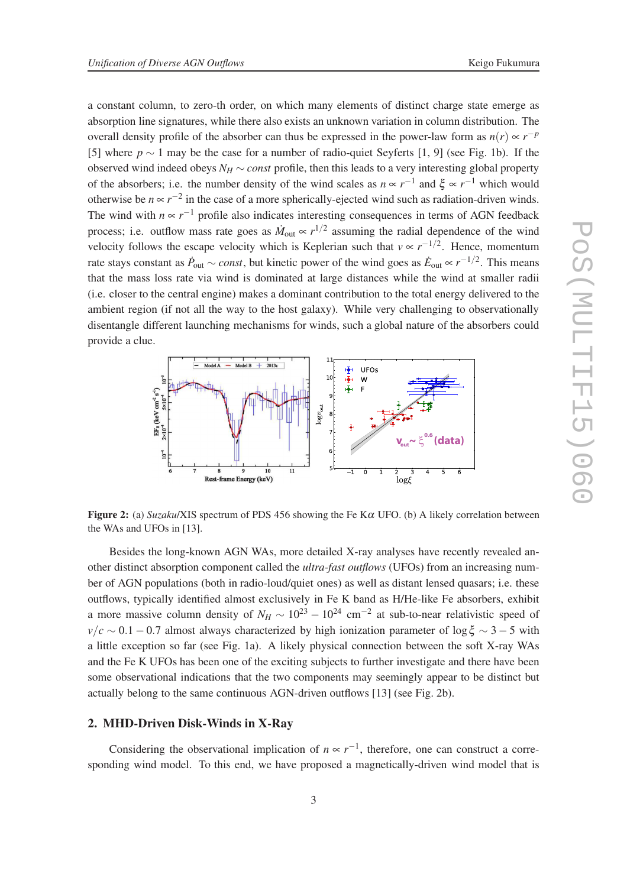a constant column, to zero-th order, on which many elements of distinct charge state emerge as absorption line signatures, while there also exists an unknown variation in column distribution. The overall density profile of the absorber can thus be expressed in the power-law form as  $n(r) \propto r^{-p}$ [5] where  $p \sim 1$  may be the case for a number of radio-quiet Seyferts [1, 9] (see Fig. 1b). If the observed wind indeed obeys  $N_H \sim const$  profile, then this leads to a very interesting global property of the absorbers; i.e. the number density of the wind scales as  $n \propto r^{-1}$  and  $\xi \propto r^{-1}$  which would otherwise be  $n \propto r^{-2}$  in the case of a more spherically-ejected wind such as radiation-driven winds. The wind with  $n \propto r^{-1}$  profile also indicates interesting consequences in terms of AGN feedback process; i.e. outflow mass rate goes as  $\dot{M}_{\text{out}} \propto r^{1/2}$  assuming the radial dependence of the wind velocity follows the escape velocity which is Keplerian such that  $v \propto r^{-1/2}$ . Hence, momentum rate stays constant as  $\dot{P}_{out} \sim const$ , but kinetic power of the wind goes as  $\dot{E}_{out} \propto r^{-1/2}$ . This means that the mass loss rate via wind is dominated at large distances while the wind at smaller radii (i.e. closer to the central engine) makes a dominant contribution to the total energy delivered to the ambient region (if not all the way to the host galaxy). While very challenging to observationally disentangle different launching mechanisms for winds, such a global nature of the absorbers could provide a clue.



Figure 2: (a) *Suzaku*/XIS spectrum of PDS 456 showing the Fe K <sup>α</sup> UFO. (b) A likely correlation between the WAs and UFOs in [13].

Besides the long-known AGN WAs, more detailed X-ray analyses have recently revealed another distinct absorption component called the *ultra-fast outflows* (UFOs) from an increasing number of AGN populations (both in radio-loud/quiet ones) as well as distant lensed quasars; i.e. these outflows, typically identified almost exclusively in Fe K band as H/He-like Fe absorbers, exhibit a more massive column density of  $N_H \sim 10^{23} - 10^{24}$  cm<sup>-2</sup> at sub-to-near relativistic speed of  $v/c \sim 0.1 - 0.7$  almost always characterized by high ionization parameter of log  $\xi \sim 3 - 5$  with a little exception so far (see Fig. 1a). A likely physical connection between the soft X-ray WAs and the Fe K UFOs has been one of the exciting subjects to further investigate and there have been some observational indications that the two components may seemingly appear to be distinct but actually belong to the same continuous AGN-driven outflows [13] (see Fig. 2b).

# 2. MHD-Driven Disk-Winds in X-Ray

Considering the observational implication of  $n \propto r^{-1}$ , therefore, one can construct a corresponding wind model. To this end, we have proposed a magnetically-driven wind model that is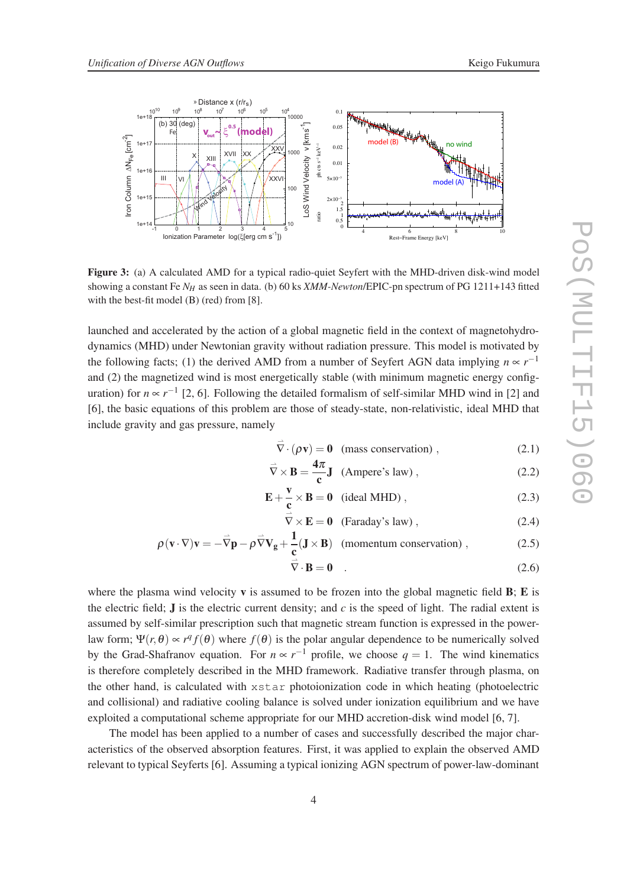

Figure 3: (a) A calculated AMD for a typical radio-quiet Seyfert with the MHD-driven disk-wind model showing a constant Fe *N<sup>H</sup>* as seen in data. (b) 60 ks *XMM-Newton*/EPIC-pn spectrum of PG 1211+143 fitted with the best-fit model (B) (red) from [8].

launched and accelerated by the action of a global magnetic field in the context of magnetohydrodynamics (MHD) under Newtonian gravity without radiation pressure. This model is motivated by the following facts; (1) the derived AMD from a number of Seyfert AGN data implying  $n \propto r^{-1}$ and (2) the magnetized wind is most energetically stable (with minimum magnetic energy configuration) for  $n \propto r^{-1}$  [2, 6]. Following the detailed formalism of self-similar MHD wind in [2] and [6], the basic equations of this problem are those of steady-state, non-relativistic, ideal MHD that include gravity and gas pressure, namely

$$
\vec{\nabla} \cdot (\rho \mathbf{v}) = \mathbf{0} \quad \text{(mass conservation)} , \tag{2.1}
$$

$$
\vec{\nabla} \times \mathbf{B} = \frac{4\pi}{c} \mathbf{J}
$$
 (Ampere's law), (2.2)

$$
\mathbf{E} + \frac{\mathbf{v}}{c} \times \mathbf{B} = \mathbf{0} \text{ (ideal MHD)},
$$
 (2.3)

$$
\overline{\nabla} \times \mathbf{E} = \mathbf{0} \quad \text{(Faraday's law)} \,, \tag{2.4}
$$

$$
\rho(\mathbf{v} \cdot \nabla)\mathbf{v} = -\vec{\nabla}\mathbf{p} - \rho \vec{\nabla}\mathbf{V}_{\mathbf{g}} + \frac{1}{\mathbf{c}}(\mathbf{J} \times \mathbf{B}) \quad \text{(momentum conservation)} , \tag{2.5}
$$
\n
$$
\vec{\nabla} \cdot \mathbf{B} = \mathbf{0} \quad . \tag{2.6}
$$

$$
\cdot \mathbf{B} = \mathbf{0} \quad . \tag{2.6}
$$

where the plasma wind velocity  $\bf{v}$  is assumed to be frozen into the global magnetic field  $\bf{B}$ ;  $\bf{E}$  is the electric field;  $J$  is the electric current density; and  $c$  is the speed of light. The radial extent is assumed by self-similar prescription such that magnetic stream function is expressed in the powerlaw form;  $\Psi(r, \theta) \propto r^q f(\theta)$  where  $f(\theta)$  is the polar angular dependence to be numerically solved by the Grad-Shafranov equation. For  $n \propto r^{-1}$  profile, we choose  $q = 1$ . The wind kinematics is therefore completely described in the MHD framework. Radiative transfer through plasma, on the other hand, is calculated with xstar photoionization code in which heating (photoelectric and collisional) and radiative cooling balance is solved under ionization equilibrium and we have exploited a computational scheme appropriate for our MHD accretion-disk wind model [6, 7].

The model has been applied to a number of cases and successfully described the major characteristics of the observed absorption features. First, it was applied to explain the observed AMD relevant to typical Seyferts [6]. Assuming a typical ionizing AGN spectrum of power-law-dominant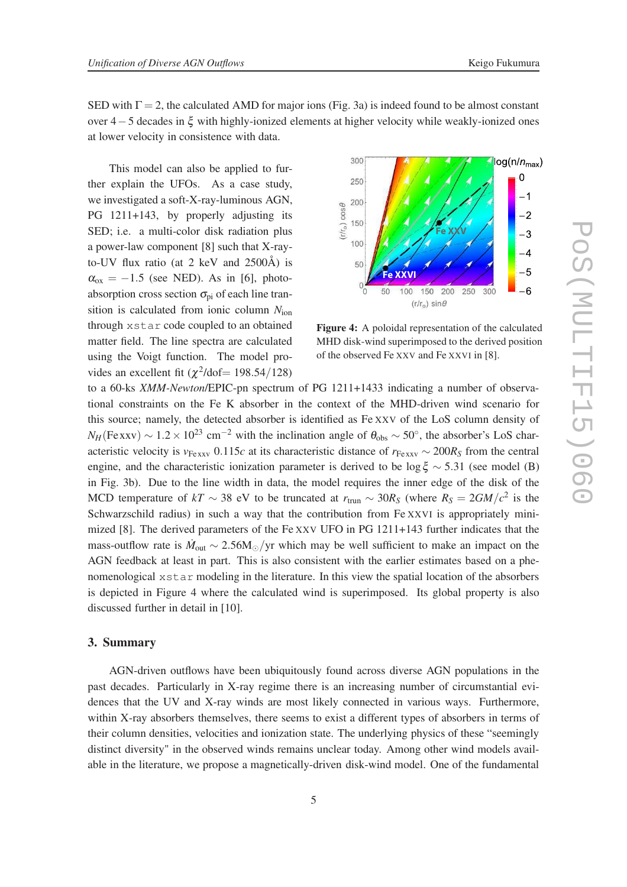SED with  $\Gamma = 2$ , the calculated AMD for major ions (Fig. 3a) is indeed found to be almost constant over 4 − 5 decades in  $\xi$  with highly-ionized elements at higher velocity while weakly-ionized ones at lower velocity in consistence with data.

This model can also be applied to further explain the UFOs. As a case study, we investigated a soft-X-ray-luminous AGN, PG 1211+143, by properly adjusting its SED; i.e. a multi-color disk radiation plus a power-law component [8] such that X-rayto-UV flux ratio (at 2 keV and 2500Å) is  $\alpha_{ox} = -1.5$  (see NED). As in [6], photoabsorption cross section  $\sigma_{\rm pi}$  of each line transition is calculated from ionic column *N*ion through xstar code coupled to an obtained matter field. The line spectra are calculated using the Voigt function. The model provides an excellent fit  $(\chi^2/\text{dof} = 198.54/128)$ 



Figure 4: A poloidal representation of the calculated MHD disk-wind superimposed to the derived position of the observed Fe XXV and Fe XXVI in [8].

to a 60-ks *XMM-Newton*/EPIC-pn spectrum of PG 1211+1433 indicating a number of observational constraints on the Fe K absorber in the context of the MHD-driven wind scenario for this source; namely, the detected absorber is identified as F e XXV of the LoS column density of  $N_H$ (Fexxv) ~ 1.2 × 10<sup>23</sup> cm<sup>-2</sup> with the inclination angle of  $\theta_{obs}$  ~ 50°, the absorber's LoS characteristic velocity is  $v_{\text{Fexxv}}$  0.115*c* at its characteristic distance of  $r_{\text{Fexxv}} \sim 200R_s$  from the central engine, and the characteristic ionization parameter is derived to be  $\log \xi \sim 5.31$  (see model (B) in Fig. 3b). Due to the line width in data, the model requires the inner edge of the disk of the MCD temperature of  $kT \sim 38$  eV to be truncated at  $r_{\text{trun}} \sim 30R_s$  (where  $R_s = 2GM/c^2$  is the Schwarzschild radius) in such a way that the contribution from Fe XXVI is appropriately minimized [8]. The derived parameters of the Fe XXV UFO in PG 1211+143 further indicates that the mass-outflow rate is  $\dot{M}_{\text{out}} \sim 2.56 M_{\odot}/yr$  which may be well sufficient to make an impact on the AGN feedback at least in part. This is also consistent with the earlier estimates based on a phenomenological xstar modeling in the literature. In this view the spatial location of the absorbers is depicted in Figure 4 where the calculated wind is superimposed. Its global property is also discussed further in detail in [10].

#### 3. Summary

AGN-driven outflows have been ubiquitously found across diverse AGN populations in the past decades. Particularly in X-ray regime there is an increasing number of circumstantial evidences that the UV and X-ray winds are most likely connected in various ways. Furthermore, within X-ray absorbers themselves, there seems to exist a different types of absorbers in terms of their column densities, velocities and ionization state. The underlying physics of these "seemingly distinct diversity" in the observed winds remains unclear today. Among other wind models available in the literature, we propose a magnetically-driven disk-wind model. One of the fundamental